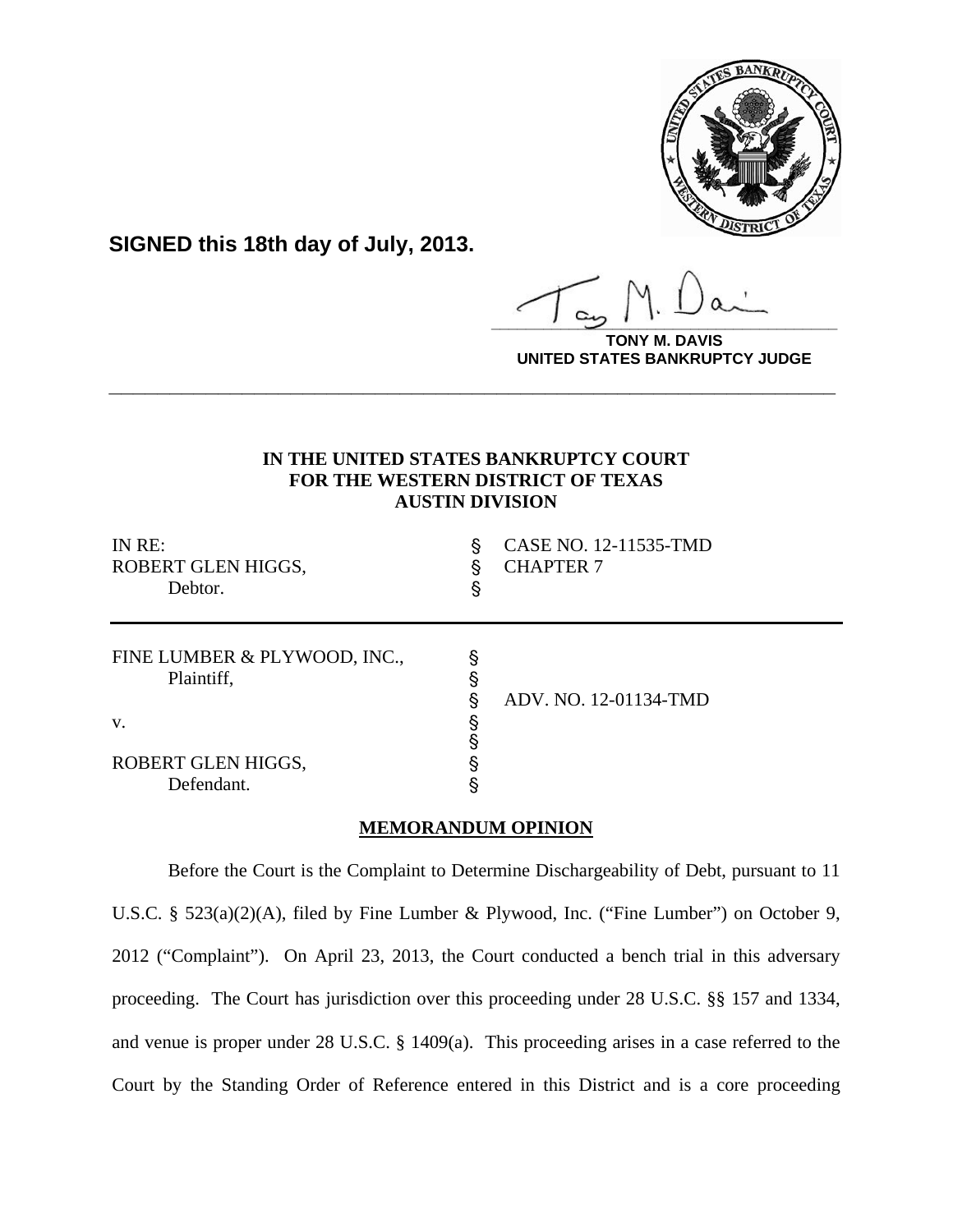

**SIGNED this 18th day of July, 2013.**

**\_\_\_\_\_\_\_\_\_\_\_\_\_\_\_\_\_\_\_\_\_\_\_\_\_\_\_\_\_\_\_\_\_\_\_\_\_\_\_\_**

**DAVIS UNITED STATES BANKRUPTCY JUDGE**

# **IN THE UNITED STATES BANKRUPTCY COURT FOR THE WESTERN DISTRICT OF TEXAS AUSTIN DIVISION**

**\_\_\_\_\_\_\_\_\_\_\_\_\_\_\_\_\_\_\_\_\_\_\_\_\_\_\_\_\_\_\_\_\_\_\_\_\_\_\_\_\_\_\_\_\_\_\_\_\_\_\_\_\_\_\_\_\_\_\_\_**

| IN RE:<br>ROBERT GLEN HIGGS,<br>Debtor.    | §<br>ş | CASE NO. 12-11535-TMD<br><b>CHAPTER 7</b> |
|--------------------------------------------|--------|-------------------------------------------|
| FINE LUMBER & PLYWOOD, INC.,<br>Plaintiff, | ş      |                                           |
| V.                                         |        | ADV. NO. 12-01134-TMD                     |
| ROBERT GLEN HIGGS,                         |        |                                           |
| Defendant.                                 |        |                                           |

## **MEMORANDUM OPINION**

Before the Court is the Complaint to Determine Dischargeability of Debt, pursuant to 11 U.S.C. § 523(a)(2)(A), filed by Fine Lumber & Plywood, Inc. ("Fine Lumber") on October 9, 2012 ("Complaint"). On April 23, 2013, the Court conducted a bench trial in this adversary proceeding. The Court has jurisdiction over this proceeding under 28 U.S.C. §§ 157 and 1334, and venue is proper under 28 U.S.C. § 1409(a). This proceeding arises in a case referred to the Court by the Standing Order of Reference entered in this District and is a core proceeding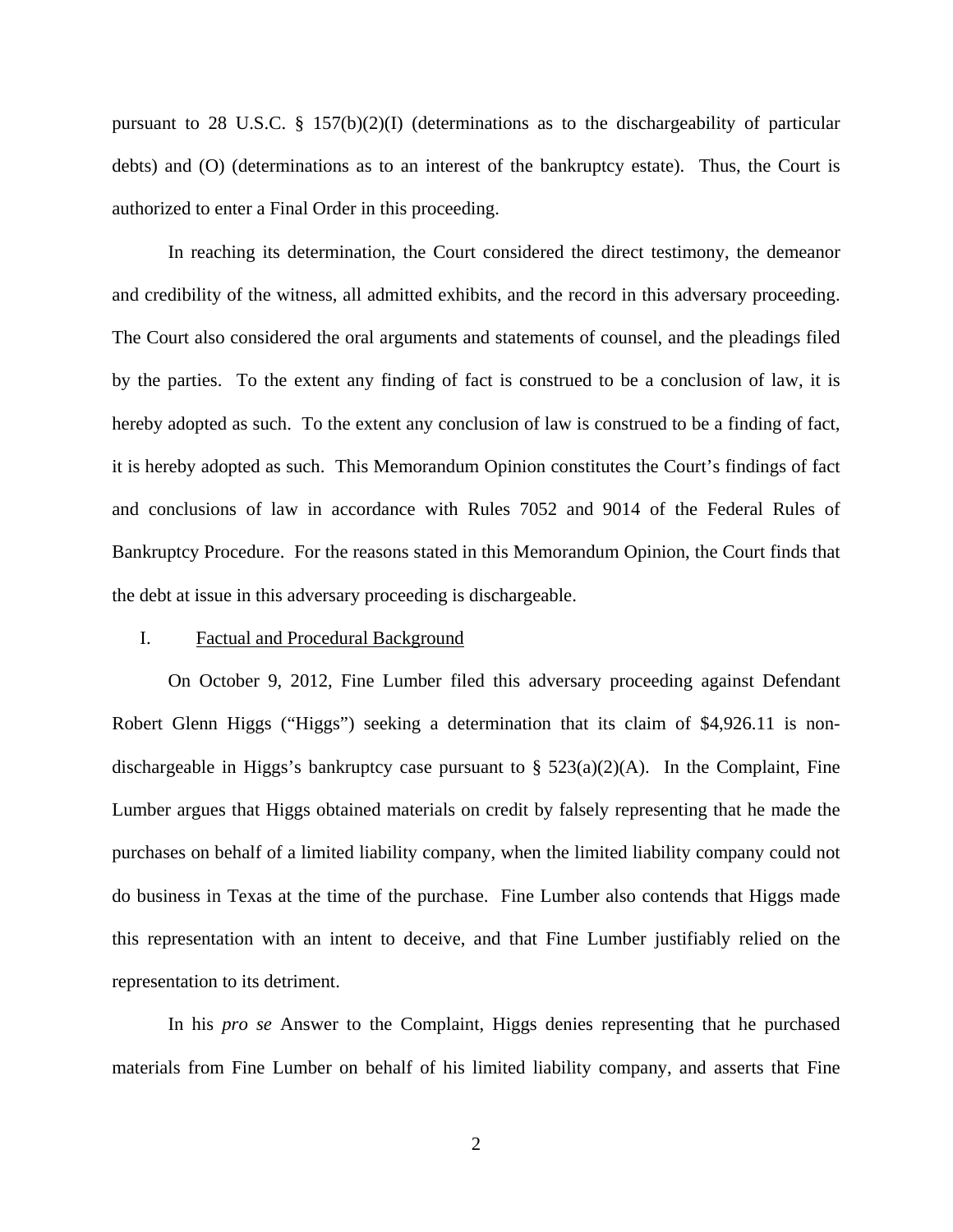pursuant to 28 U.S.C. § 157(b)(2)(I) (determinations as to the dischargeability of particular debts) and (O) (determinations as to an interest of the bankruptcy estate). Thus, the Court is authorized to enter a Final Order in this proceeding.

In reaching its determination, the Court considered the direct testimony, the demeanor and credibility of the witness, all admitted exhibits, and the record in this adversary proceeding. The Court also considered the oral arguments and statements of counsel, and the pleadings filed by the parties. To the extent any finding of fact is construed to be a conclusion of law, it is hereby adopted as such. To the extent any conclusion of law is construed to be a finding of fact, it is hereby adopted as such. This Memorandum Opinion constitutes the Court's findings of fact and conclusions of law in accordance with Rules 7052 and 9014 of the Federal Rules of Bankruptcy Procedure. For the reasons stated in this Memorandum Opinion, the Court finds that the debt at issue in this adversary proceeding is dischargeable.

#### I. Factual and Procedural Background

 On October 9, 2012, Fine Lumber filed this adversary proceeding against Defendant Robert Glenn Higgs ("Higgs") seeking a determination that its claim of \$4,926.11 is nondischargeable in Higgs's bankruptcy case pursuant to  $\S$  523(a)(2)(A). In the Complaint, Fine Lumber argues that Higgs obtained materials on credit by falsely representing that he made the purchases on behalf of a limited liability company, when the limited liability company could not do business in Texas at the time of the purchase. Fine Lumber also contends that Higgs made this representation with an intent to deceive, and that Fine Lumber justifiably relied on the representation to its detriment.

 In his *pro se* Answer to the Complaint, Higgs denies representing that he purchased materials from Fine Lumber on behalf of his limited liability company, and asserts that Fine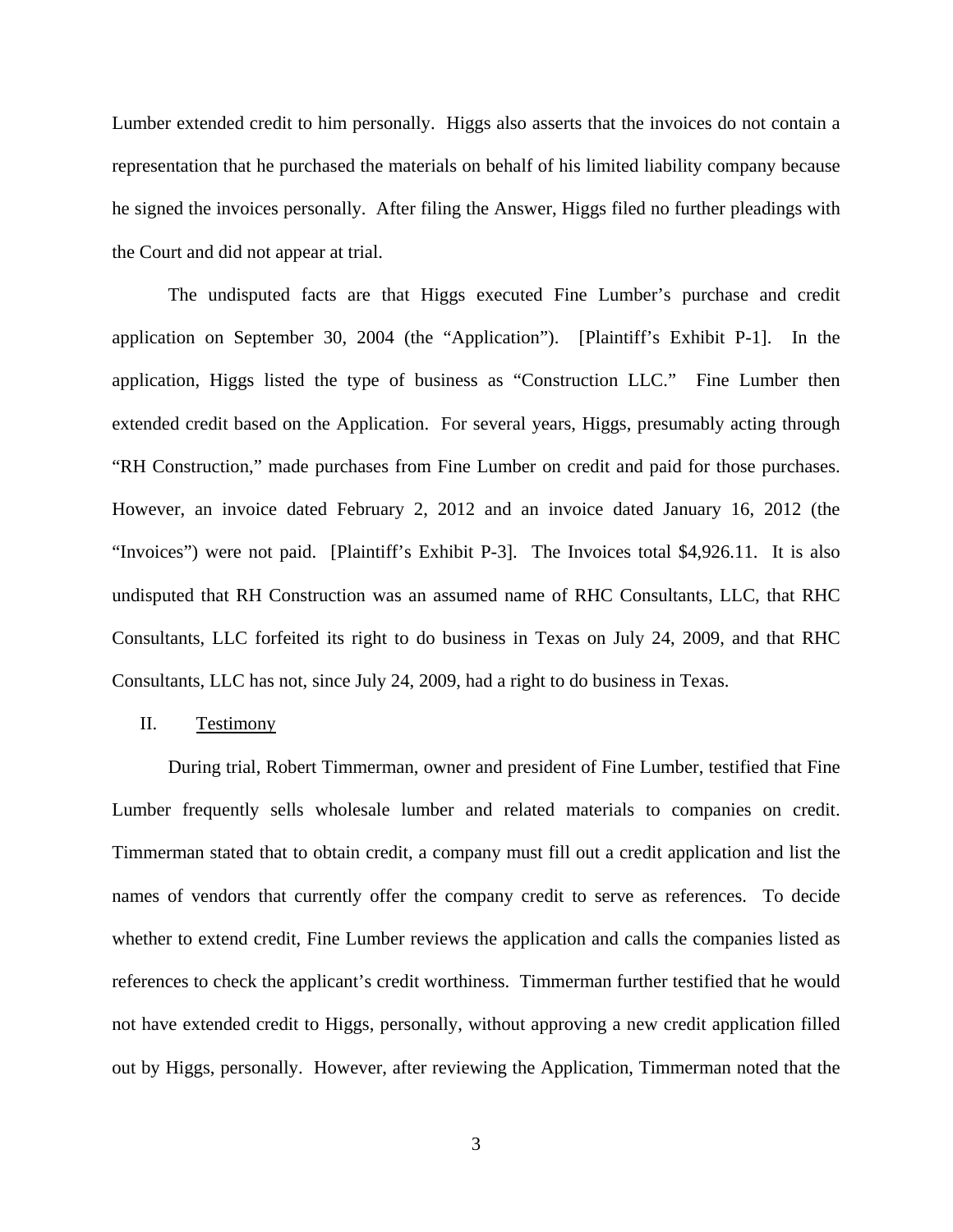Lumber extended credit to him personally. Higgs also asserts that the invoices do not contain a representation that he purchased the materials on behalf of his limited liability company because he signed the invoices personally. After filing the Answer, Higgs filed no further pleadings with the Court and did not appear at trial.

 The undisputed facts are that Higgs executed Fine Lumber's purchase and credit application on September 30, 2004 (the "Application"). [Plaintiff's Exhibit P-1]. In the application, Higgs listed the type of business as "Construction LLC." Fine Lumber then extended credit based on the Application. For several years, Higgs, presumably acting through "RH Construction," made purchases from Fine Lumber on credit and paid for those purchases. However, an invoice dated February 2, 2012 and an invoice dated January 16, 2012 (the "Invoices") were not paid. [Plaintiff's Exhibit P-3]. The Invoices total \$4,926.11. It is also undisputed that RH Construction was an assumed name of RHC Consultants, LLC, that RHC Consultants, LLC forfeited its right to do business in Texas on July 24, 2009, and that RHC Consultants, LLC has not, since July 24, 2009, had a right to do business in Texas.

#### II. Testimony

 During trial, Robert Timmerman, owner and president of Fine Lumber, testified that Fine Lumber frequently sells wholesale lumber and related materials to companies on credit. Timmerman stated that to obtain credit, a company must fill out a credit application and list the names of vendors that currently offer the company credit to serve as references. To decide whether to extend credit, Fine Lumber reviews the application and calls the companies listed as references to check the applicant's credit worthiness. Timmerman further testified that he would not have extended credit to Higgs, personally, without approving a new credit application filled out by Higgs, personally. However, after reviewing the Application, Timmerman noted that the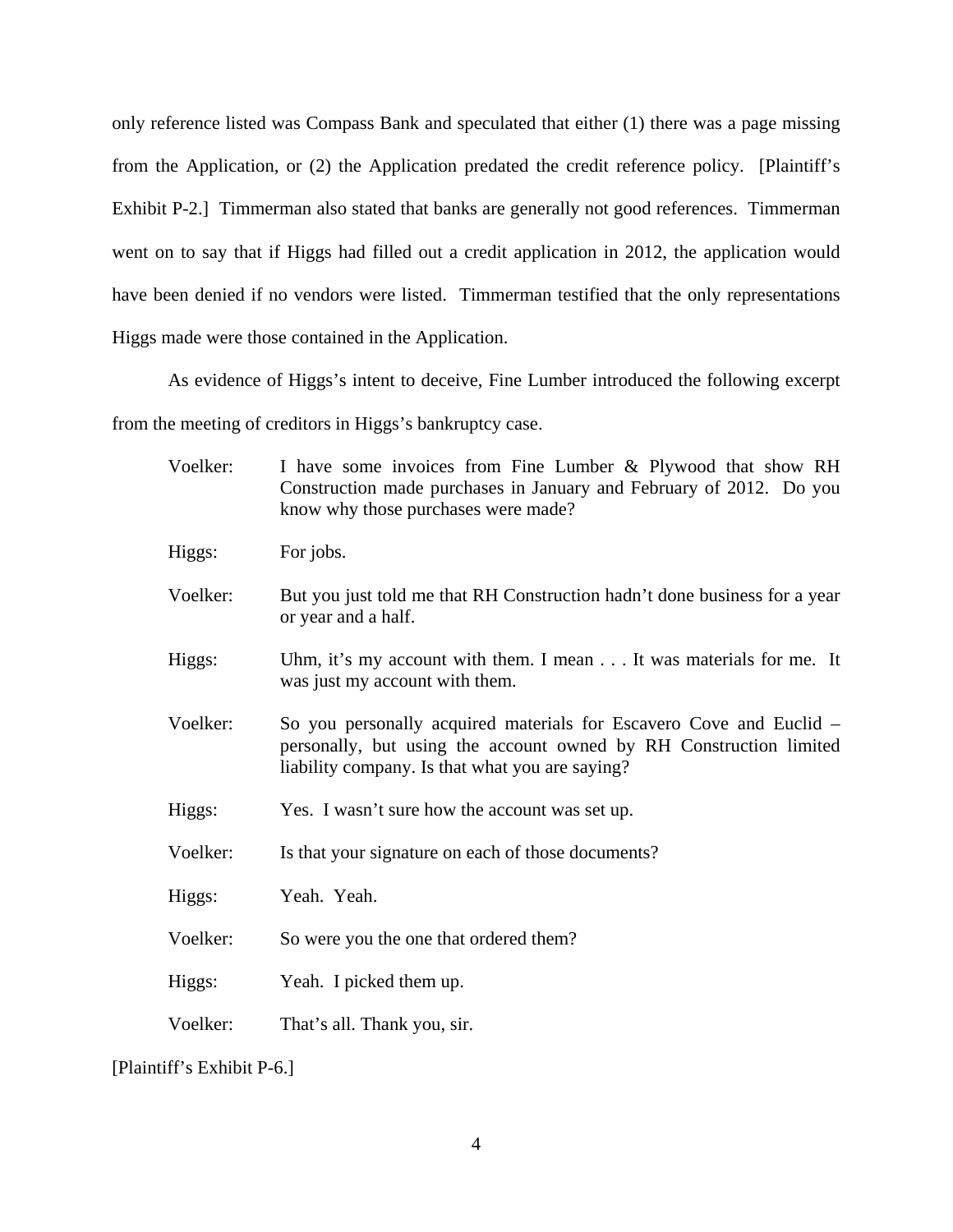only reference listed was Compass Bank and speculated that either (1) there was a page missing from the Application, or (2) the Application predated the credit reference policy. [Plaintiff's Exhibit P-2.] Timmerman also stated that banks are generally not good references. Timmerman went on to say that if Higgs had filled out a credit application in 2012, the application would have been denied if no vendors were listed. Timmerman testified that the only representations Higgs made were those contained in the Application.

As evidence of Higgs's intent to deceive, Fine Lumber introduced the following excerpt

from the meeting of creditors in Higgs's bankruptcy case.

| Voelker: | I have some invoices from Fine Lumber & Plywood that show RH<br>Construction made purchases in January and February of 2012. Do you<br>know why those purchases were made?                   |
|----------|----------------------------------------------------------------------------------------------------------------------------------------------------------------------------------------------|
| Higgs:   | For jobs.                                                                                                                                                                                    |
| Voelker: | But you just told me that RH Construction hadn't done business for a year<br>or year and a half.                                                                                             |
| Higgs:   | Uhm, it's my account with them. I mean It was materials for me. It<br>was just my account with them.                                                                                         |
| Voelker: | So you personally acquired materials for Escavero Cove and Euclid –<br>personally, but using the account owned by RH Construction limited<br>liability company. Is that what you are saying? |
| Higgs:   | Yes. I wasn't sure how the account was set up.                                                                                                                                               |
| Voelker: | Is that your signature on each of those documents?                                                                                                                                           |
| Higgs:   | Yeah. Yeah.                                                                                                                                                                                  |
| Voelker: | So were you the one that ordered them?                                                                                                                                                       |
| Higgs:   | Yeah. I picked them up.                                                                                                                                                                      |
| Voelker: | That's all. Thank you, sir.                                                                                                                                                                  |

[Plaintiff's Exhibit P-6.]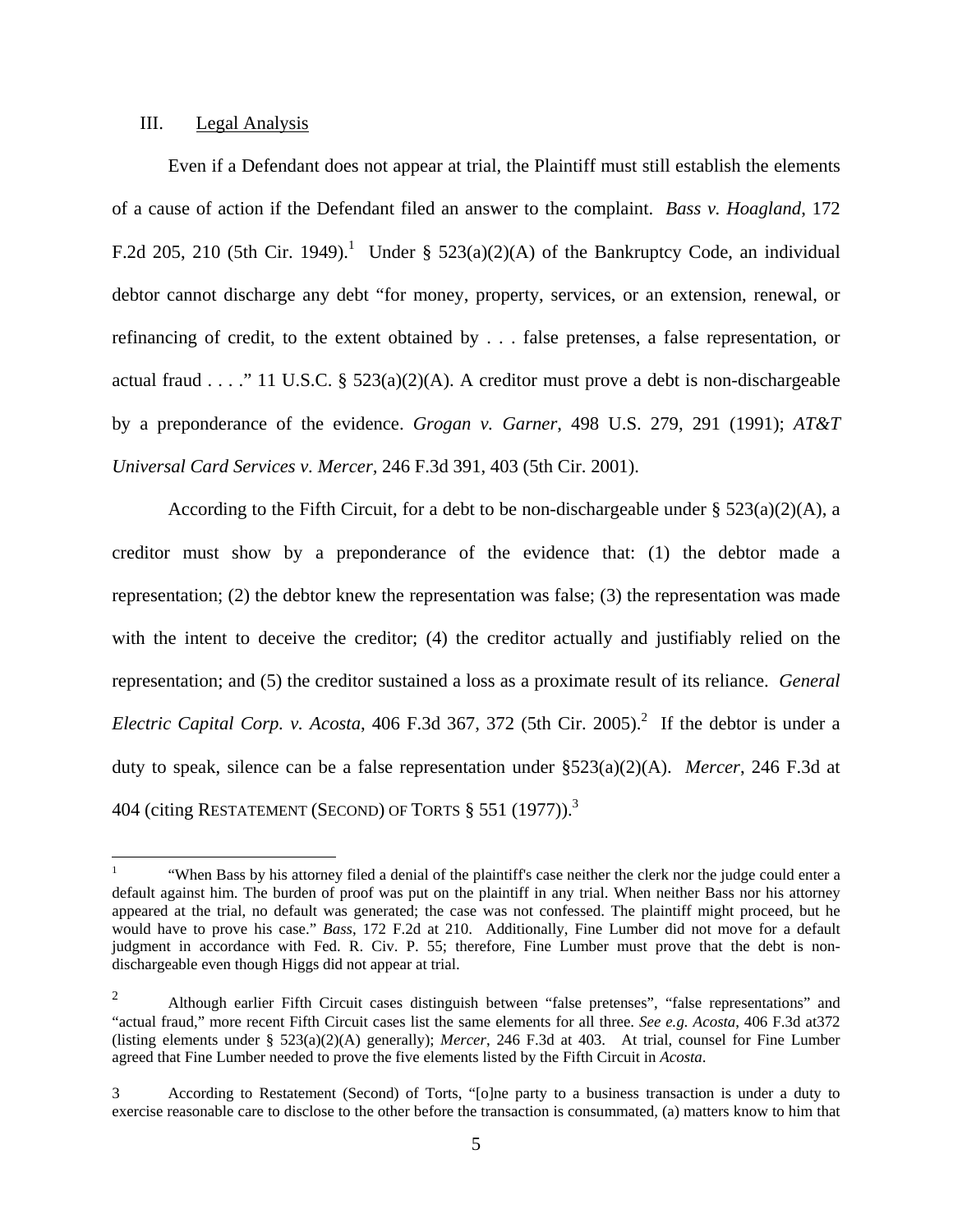#### III. Legal Analysis

Even if a Defendant does not appear at trial, the Plaintiff must still establish the elements of a cause of action if the Defendant filed an answer to the complaint. *Bass v. Hoagland*, 172 F.2d 205, 210 (5th Cir. 1949).<sup>1</sup> Under § 523(a)(2)(A) of the Bankruptcy Code, an individual debtor cannot discharge any debt "for money, property, services, or an extension, renewal, or refinancing of credit, to the extent obtained by . . . false pretenses, a false representation, or actual fraud . . . ." 11 U.S.C. §  $523(a)(2)(A)$ . A creditor must prove a debt is non-dischargeable by a preponderance of the evidence. *Grogan v. Garner*, 498 U.S. 279, 291 (1991); *AT&T Universal Card Services v. Mercer,* 246 F.3d 391, 403 (5th Cir. 2001).

According to the Fifth Circuit, for a debt to be non-dischargeable under  $\S 523(a)(2)(A)$ , a creditor must show by a preponderance of the evidence that: (1) the debtor made a representation; (2) the debtor knew the representation was false; (3) the representation was made with the intent to deceive the creditor; (4) the creditor actually and justifiably relied on the representation; and (5) the creditor sustained a loss as a proximate result of its reliance. *General Electric Capital Corp. v. Acosta,* 406 F.3d 367, 372 (5th Cir. 2005).<sup>2</sup> If the debtor is under a duty to speak, silence can be a false representation under §523(a)(2)(A). *Mercer*, 246 F.3d at 404 (citing RESTATEMENT (SECOND) OF TORTS  $§$  551 (1977)).<sup>3</sup>

 $\mathbf{1}$ 1 "When Bass by his attorney filed a denial of the plaintiff's case neither the clerk nor the judge could enter a default against him. The burden of proof was put on the plaintiff in any trial. When neither Bass nor his attorney appeared at the trial, no default was generated; the case was not confessed. The plaintiff might proceed, but he would have to prove his case." *Bass*, 172 F.2d at 210. Additionally, Fine Lumber did not move for a default judgment in accordance with Fed. R. Civ. P. 55; therefore, Fine Lumber must prove that the debt is nondischargeable even though Higgs did not appear at trial.

<sup>&</sup>lt;sup>2</sup> Although earlier Fifth Circuit cases distinguish between "false pretenses", "false representations" and "actual fraud," more recent Fifth Circuit cases list the same elements for all three. *See e.g. Acosta*, 406 F.3d at372 (listing elements under § 523(a)(2)(A) generally); *Mercer*, 246 F.3d at 403. At trial, counsel for Fine Lumber agreed that Fine Lumber needed to prove the five elements listed by the Fifth Circuit in *Acosta*.

<sup>3</sup> According to Restatement (Second) of Torts, "[o]ne party to a business transaction is under a duty to exercise reasonable care to disclose to the other before the transaction is consummated, (a) matters know to him that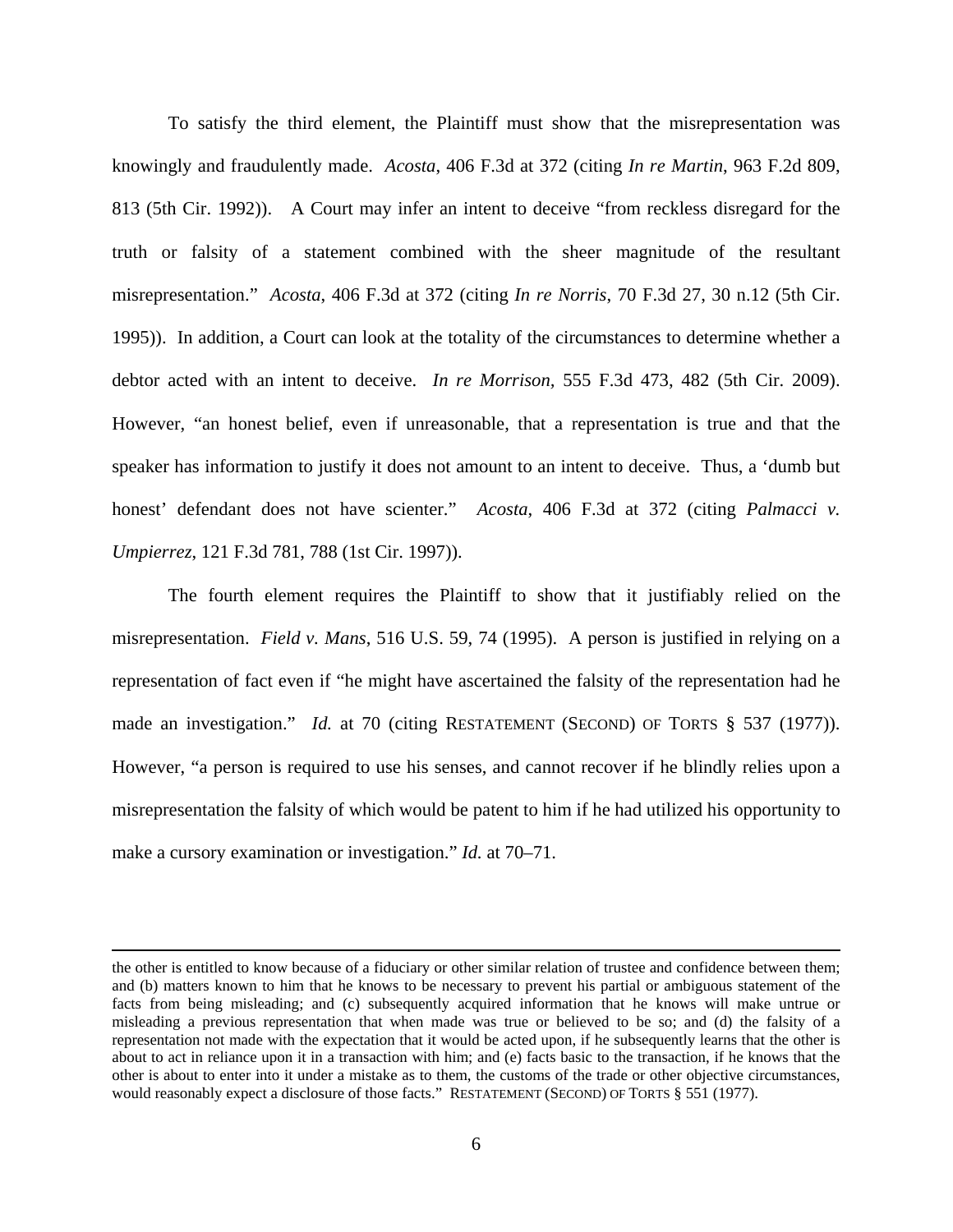To satisfy the third element, the Plaintiff must show that the misrepresentation was knowingly and fraudulently made. *Acosta*, 406 F.3d at 372 (citing *In re Martin*, 963 F.2d 809, 813 (5th Cir. 1992)). A Court may infer an intent to deceive "from reckless disregard for the truth or falsity of a statement combined with the sheer magnitude of the resultant misrepresentation." *Acosta*, 406 F.3d at 372 (citing *In re Norris*, 70 F.3d 27, 30 n.12 (5th Cir. 1995)). In addition, a Court can look at the totality of the circumstances to determine whether a debtor acted with an intent to deceive. *In re Morrison,* 555 F.3d 473, 482 (5th Cir. 2009). However, "an honest belief, even if unreasonable, that a representation is true and that the speaker has information to justify it does not amount to an intent to deceive. Thus, a 'dumb but honest' defendant does not have scienter." *Acosta*, 406 F.3d at 372 (citing *Palmacci v. Umpierrez*, 121 F.3d 781, 788 (1st Cir. 1997)).

The fourth element requires the Plaintiff to show that it justifiably relied on the misrepresentation. *Field v. Mans*, 516 U.S. 59, 74 (1995). A person is justified in relying on a representation of fact even if "he might have ascertained the falsity of the representation had he made an investigation." *Id.* at 70 (citing RESTATEMENT (SECOND) OF TORTS § 537 (1977)). However, "a person is required to use his senses, and cannot recover if he blindly relies upon a misrepresentation the falsity of which would be patent to him if he had utilized his opportunity to make a cursory examination or investigation." *Id.* at 70–71.

the other is entitled to know because of a fiduciary or other similar relation of trustee and confidence between them; and (b) matters known to him that he knows to be necessary to prevent his partial or ambiguous statement of the facts from being misleading; and (c) subsequently acquired information that he knows will make untrue or misleading a previous representation that when made was true or believed to be so; and (d) the falsity of a representation not made with the expectation that it would be acted upon, if he subsequently learns that the other is about to act in reliance upon it in a transaction with him; and (e) facts basic to the transaction, if he knows that the other is about to enter into it under a mistake as to them, the customs of the trade or other objective circumstances, would reasonably expect a disclosure of those facts." RESTATEMENT (SECOND) OF TORTS § 551 (1977).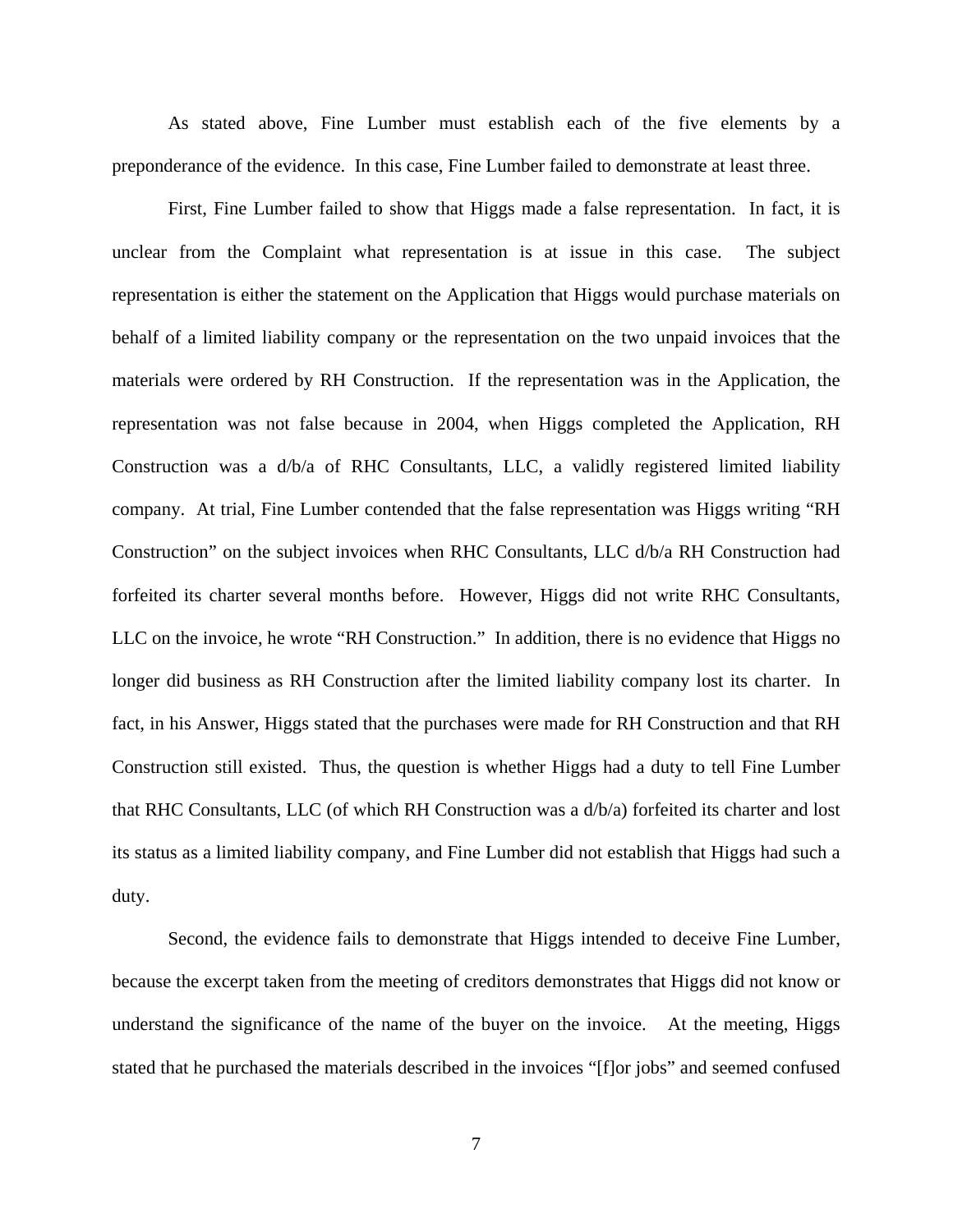As stated above, Fine Lumber must establish each of the five elements by a preponderance of the evidence. In this case, Fine Lumber failed to demonstrate at least three.

First, Fine Lumber failed to show that Higgs made a false representation. In fact, it is unclear from the Complaint what representation is at issue in this case. The subject representation is either the statement on the Application that Higgs would purchase materials on behalf of a limited liability company or the representation on the two unpaid invoices that the materials were ordered by RH Construction. If the representation was in the Application, the representation was not false because in 2004, when Higgs completed the Application, RH Construction was a d/b/a of RHC Consultants, LLC, a validly registered limited liability company. At trial, Fine Lumber contended that the false representation was Higgs writing "RH Construction" on the subject invoices when RHC Consultants, LLC d/b/a RH Construction had forfeited its charter several months before. However, Higgs did not write RHC Consultants, LLC on the invoice, he wrote "RH Construction." In addition, there is no evidence that Higgs no longer did business as RH Construction after the limited liability company lost its charter. In fact, in his Answer, Higgs stated that the purchases were made for RH Construction and that RH Construction still existed. Thus, the question is whether Higgs had a duty to tell Fine Lumber that RHC Consultants, LLC (of which RH Construction was a d/b/a) forfeited its charter and lost its status as a limited liability company, and Fine Lumber did not establish that Higgs had such a duty.

Second, the evidence fails to demonstrate that Higgs intended to deceive Fine Lumber, because the excerpt taken from the meeting of creditors demonstrates that Higgs did not know or understand the significance of the name of the buyer on the invoice. At the meeting, Higgs stated that he purchased the materials described in the invoices "[f]or jobs" and seemed confused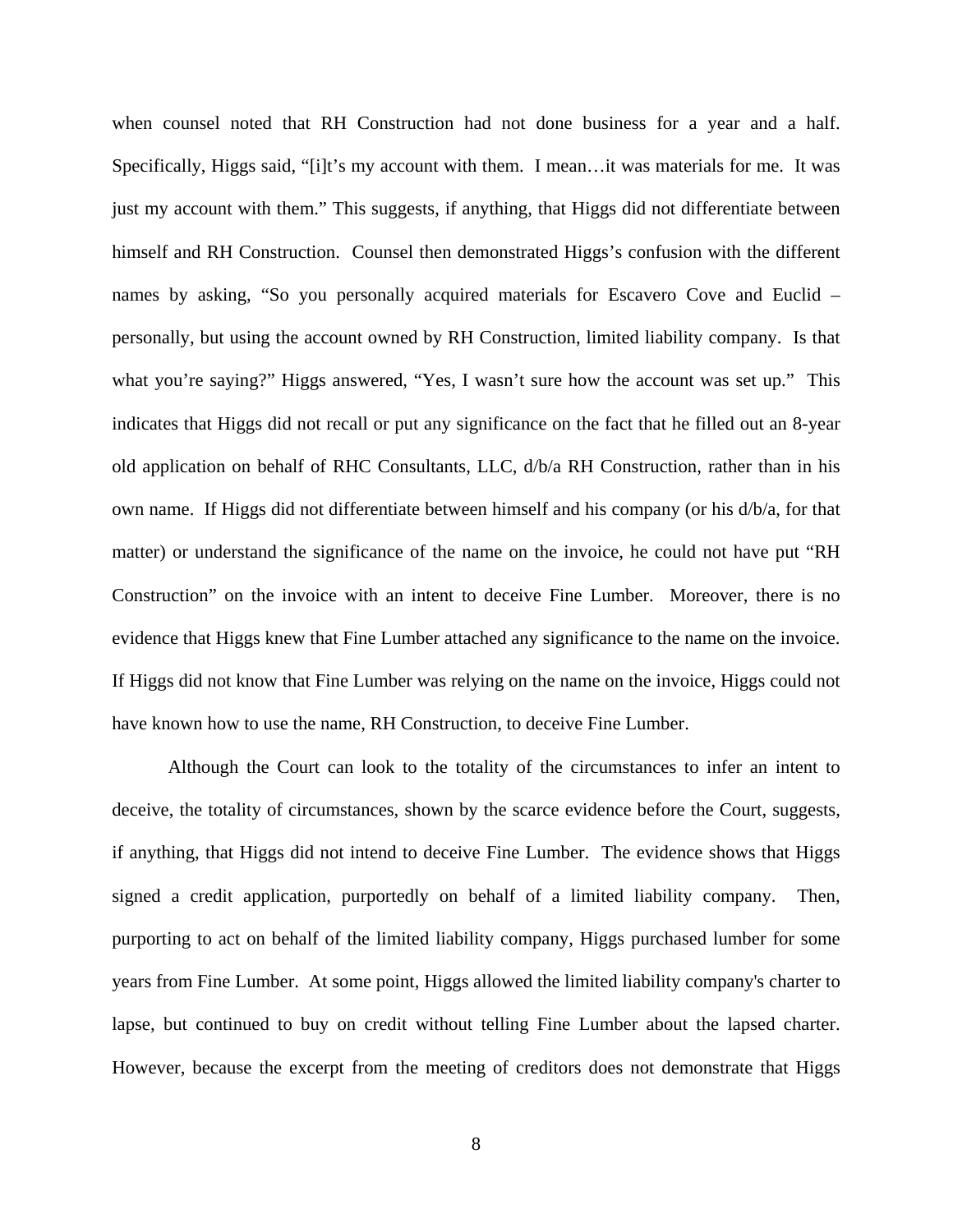when counsel noted that RH Construction had not done business for a year and a half. Specifically, Higgs said, "[i]t's my account with them. I mean…it was materials for me. It was just my account with them." This suggests, if anything, that Higgs did not differentiate between himself and RH Construction. Counsel then demonstrated Higgs's confusion with the different names by asking, "So you personally acquired materials for Escavero Cove and Euclid – personally, but using the account owned by RH Construction, limited liability company. Is that what you're saying?" Higgs answered, "Yes, I wasn't sure how the account was set up." This indicates that Higgs did not recall or put any significance on the fact that he filled out an 8-year old application on behalf of RHC Consultants, LLC, d/b/a RH Construction, rather than in his own name. If Higgs did not differentiate between himself and his company (or his d/b/a, for that matter) or understand the significance of the name on the invoice, he could not have put "RH Construction" on the invoice with an intent to deceive Fine Lumber. Moreover, there is no evidence that Higgs knew that Fine Lumber attached any significance to the name on the invoice. If Higgs did not know that Fine Lumber was relying on the name on the invoice, Higgs could not have known how to use the name, RH Construction, to deceive Fine Lumber.

Although the Court can look to the totality of the circumstances to infer an intent to deceive, the totality of circumstances, shown by the scarce evidence before the Court, suggests, if anything, that Higgs did not intend to deceive Fine Lumber. The evidence shows that Higgs signed a credit application, purportedly on behalf of a limited liability company. Then, purporting to act on behalf of the limited liability company, Higgs purchased lumber for some years from Fine Lumber. At some point, Higgs allowed the limited liability company's charter to lapse, but continued to buy on credit without telling Fine Lumber about the lapsed charter. However, because the excerpt from the meeting of creditors does not demonstrate that Higgs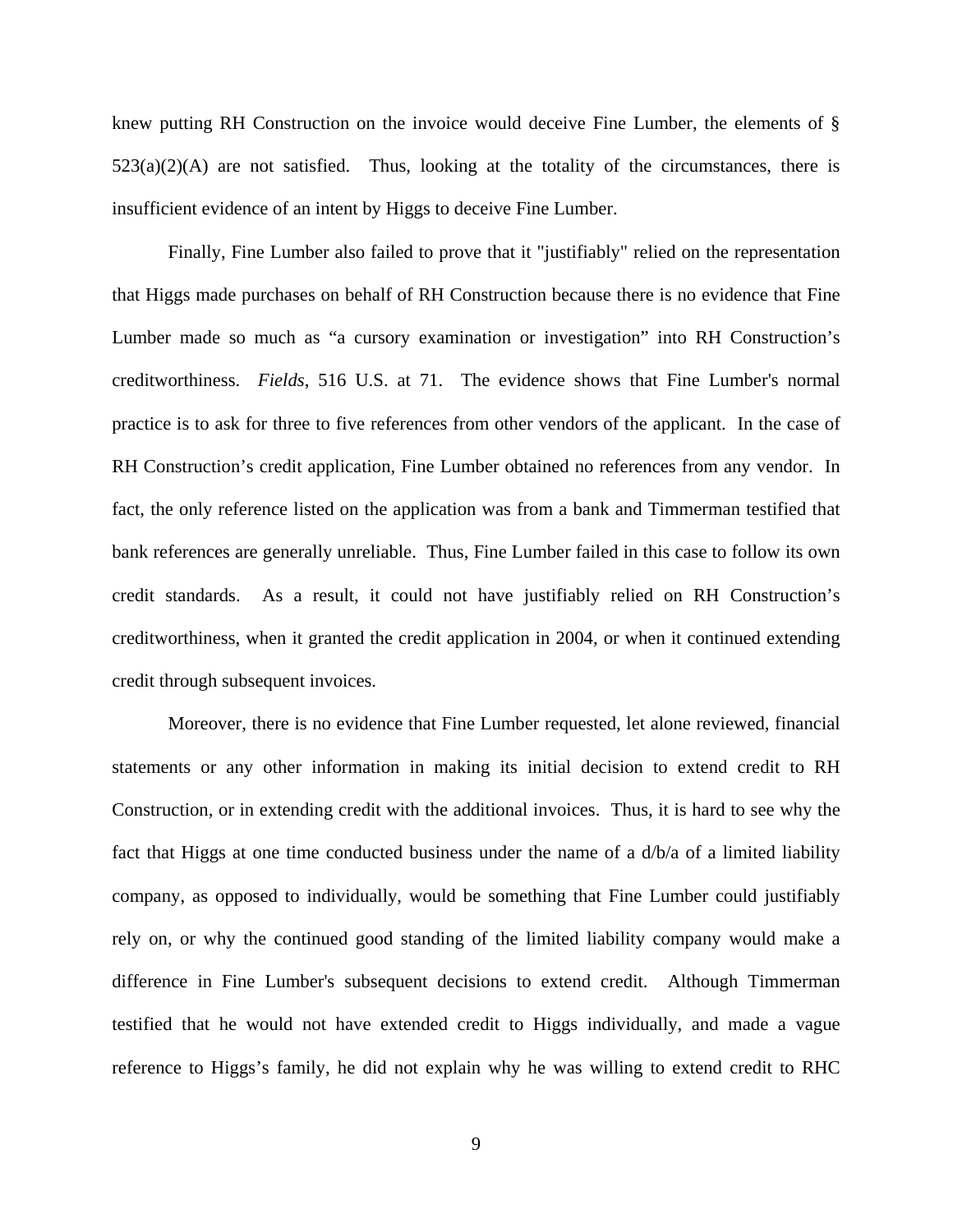knew putting RH Construction on the invoice would deceive Fine Lumber, the elements of §  $523(a)(2)(A)$  are not satisfied. Thus, looking at the totality of the circumstances, there is insufficient evidence of an intent by Higgs to deceive Fine Lumber.

Finally, Fine Lumber also failed to prove that it "justifiably" relied on the representation that Higgs made purchases on behalf of RH Construction because there is no evidence that Fine Lumber made so much as "a cursory examination or investigation" into RH Construction's creditworthiness. *Fields*, 516 U.S. at 71. The evidence shows that Fine Lumber's normal practice is to ask for three to five references from other vendors of the applicant. In the case of RH Construction's credit application, Fine Lumber obtained no references from any vendor. In fact, the only reference listed on the application was from a bank and Timmerman testified that bank references are generally unreliable. Thus, Fine Lumber failed in this case to follow its own credit standards. As a result, it could not have justifiably relied on RH Construction's creditworthiness, when it granted the credit application in 2004, or when it continued extending credit through subsequent invoices.

Moreover, there is no evidence that Fine Lumber requested, let alone reviewed, financial statements or any other information in making its initial decision to extend credit to RH Construction, or in extending credit with the additional invoices. Thus, it is hard to see why the fact that Higgs at one time conducted business under the name of a  $d/b/a$  of a limited liability company, as opposed to individually, would be something that Fine Lumber could justifiably rely on, or why the continued good standing of the limited liability company would make a difference in Fine Lumber's subsequent decisions to extend credit. Although Timmerman testified that he would not have extended credit to Higgs individually, and made a vague reference to Higgs's family, he did not explain why he was willing to extend credit to RHC